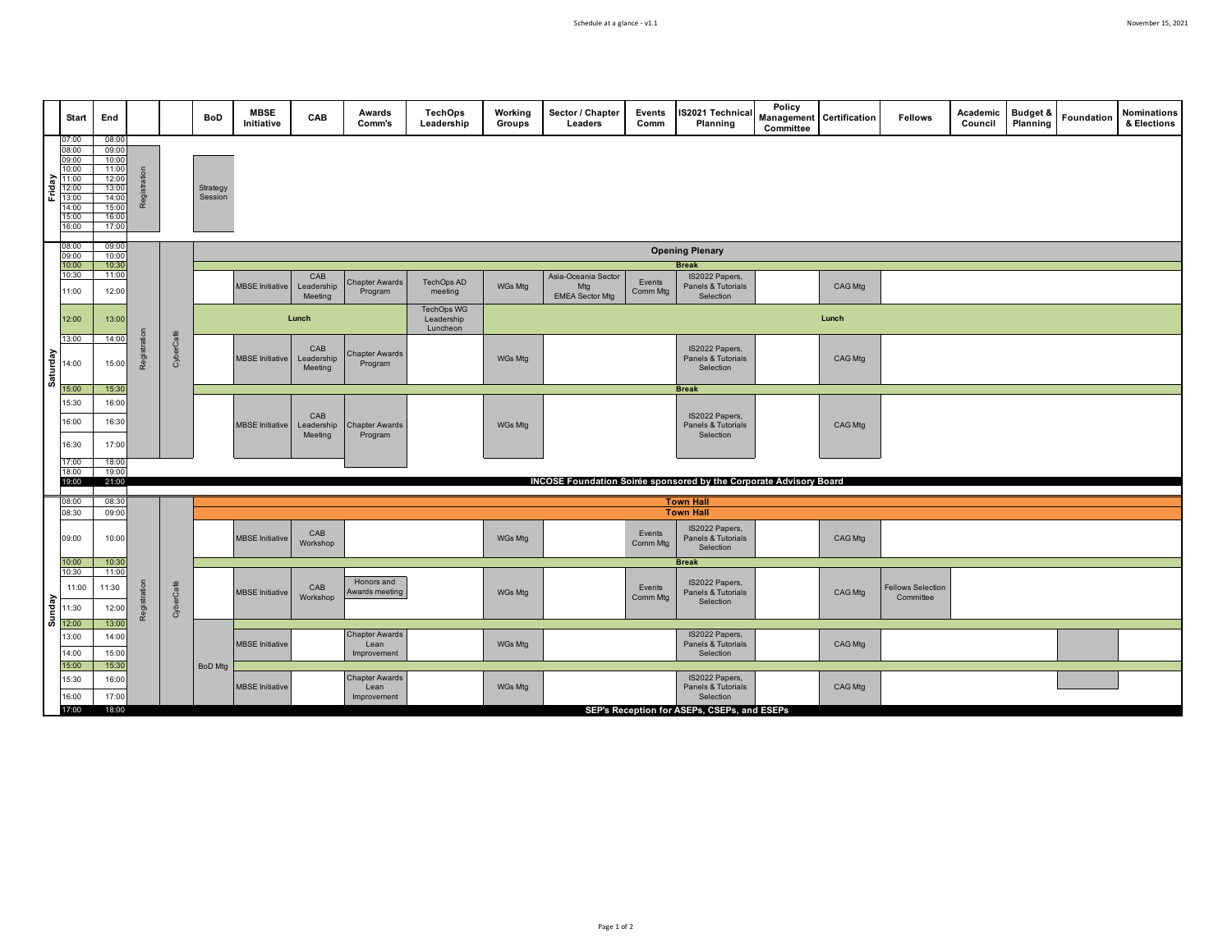|          | Start                                                                                  | End                                                                                    |                                      |                                                                    | BoD                 | <b>MBSE</b><br>Initiative | CAB                          | Awards<br>Comm's                             | <b>TechOps</b><br>Leadership                | Working<br>Groups   | Sector / Chapter<br>Leaders   | Events<br>Comm     | <b>IS2021 Technica</b><br>Planning                | Policy<br>Committee | <b>Management Certification</b> | <b>Fellows</b>                        | Academic<br>Council | <b>Budget &amp;</b><br>Planning | Foundation | Nominations<br>& Elections |
|----------|----------------------------------------------------------------------------------------|----------------------------------------------------------------------------------------|--------------------------------------|--------------------------------------------------------------------|---------------------|---------------------------|------------------------------|----------------------------------------------|---------------------------------------------|---------------------|-------------------------------|--------------------|---------------------------------------------------|---------------------|---------------------------------|---------------------------------------|---------------------|---------------------------------|------------|----------------------------|
| Friday   | 07:00<br>08:00<br>09:00<br>10:00<br>11:00<br>12:00<br>13:00<br>14:00<br>15:00<br>16:00 | 08:00<br>09:00<br>10:00<br>11:00<br>12:00<br>13:00<br>14:00<br>15:00<br>16:00<br>17:00 | Reg                                  |                                                                    | Strategy<br>Session |                           |                              |                                              |                                             |                     |                               |                    |                                                   |                     |                                 |                                       |                     |                                 |            |                            |
|          | 08:00<br>09:00                                                                         | 09:00<br>10:00<br>10:30<br>11:00                                                       |                                      |                                                                    |                     | <b>Opening Plenary</b>    |                              |                                              |                                             |                     |                               |                    |                                                   |                     |                                 |                                       |                     |                                 |            |                            |
|          | 10:00<br>10:30                                                                         |                                                                                        |                                      |                                                                    |                     |                           | CAB                          |                                              |                                             | Asia-Oceania Sector |                               |                    | <b>Break</b><br>IS2022 Papers,                    |                     |                                 |                                       |                     |                                 |            |                            |
|          | 11:00                                                                                  | 12:00                                                                                  |                                      |                                                                    |                     | <b>MBSE</b> Initiative    | Leadership<br>Meeting        | <b>Chapter Awards</b><br>Program             | TechOps AD<br>meeting                       | WGs Mtg             | Mtg<br><b>EMEA Sector Mtg</b> | Events<br>Comm Mtg | Panels & Tutorials<br>Selection                   |                     | CAG Mtg                         |                                       |                     |                                 |            |                            |
|          | 12:00                                                                                  | 13:00                                                                                  |                                      |                                                                    |                     |                           | Lunch                        |                                              | <b>TechOps WG</b><br>Leadership<br>Luncheon |                     |                               |                    |                                                   |                     | Lunch                           |                                       |                     |                                 |            |                            |
| Saturday | 13:00<br>14:00                                                                         | 14:00<br>15:00                                                                         | Registratio                          | CyberCafé                                                          |                     | <b>MBSE</b> Initiative    | CAB<br>Leadership<br>Meeting | <b>Chapter Awards</b><br>Program             |                                             | WGs Mtg             |                               |                    | IS2022 Papers,<br>Panels & Tutorials<br>Selection |                     | CAG Mtg                         |                                       |                     |                                 |            |                            |
|          | 15:00                                                                                  | 15:30                                                                                  |                                      |                                                                    |                     |                           |                              |                                              |                                             |                     |                               |                    | <b>Break</b>                                      |                     |                                 |                                       |                     |                                 |            |                            |
|          | 15:30<br>16:00<br>16:30                                                                | 16:00<br>16:30<br>17:00                                                                |                                      |                                                                    |                     | <b>MBSE</b> Initiative    | CAB<br>Leadership<br>Meeting | <b>Chapter Awards</b><br>Program             |                                             | WGs Mtg             |                               |                    | IS2022 Papers,<br>Panels & Tutorials<br>Selection |                     | CAG Mtg                         |                                       |                     |                                 |            |                            |
|          | 17:00<br>18:00                                                                         | 18:00<br>19:00                                                                         |                                      |                                                                    |                     |                           |                              |                                              |                                             |                     |                               |                    |                                                   |                     |                                 |                                       |                     |                                 |            |                            |
|          | 19:00                                                                                  | 21:00                                                                                  |                                      | INCOSE Foundation Soirée sponsored by the Corporate Advisory Board |                     |                           |                              |                                              |                                             |                     |                               |                    |                                                   |                     |                                 |                                       |                     |                                 |            |                            |
|          | 08:00                                                                                  | 08:30                                                                                  | <b>Town Hall</b><br><b>Town Hall</b> |                                                                    |                     |                           |                              |                                              |                                             |                     |                               |                    |                                                   |                     |                                 |                                       |                     |                                 |            |                            |
|          | 08:30                                                                                  | 09:00                                                                                  |                                      |                                                                    |                     |                           |                              |                                              |                                             |                     |                               |                    |                                                   |                     |                                 |                                       |                     |                                 |            |                            |
|          | 09:00                                                                                  | 10:00                                                                                  |                                      |                                                                    |                     | <b>MBSE</b> Initiative    | CAB<br>Workshop              |                                              |                                             | WGs Mtg             |                               | Events<br>Comm Mtg | IS2022 Papers,<br>Panels & Tutorials<br>Selection |                     | CAG Mtg                         |                                       |                     |                                 |            |                            |
|          | 10:00<br>10:30                                                                         | 10:30<br>11:00                                                                         |                                      |                                                                    |                     |                           |                              |                                              |                                             |                     |                               |                    | <b>Break</b>                                      |                     |                                 |                                       |                     |                                 |            |                            |
| Sunday   | 11:00<br>11:30                                                                         | 11:30<br>12:00                                                                         | Registra                             | CyberCafé                                                          |                     | <b>MBSE</b> Initiative    | CAB<br>Workshop              | Honors and<br>Awards meeting                 |                                             | WGs Mtg             |                               | Events<br>Comm Mtg | IS2022 Papers,<br>Panels & Tutorials<br>Selection |                     | CAG Mtg                         | <b>Fellows Selection</b><br>Committee |                     |                                 |            |                            |
|          | 12:00                                                                                  | 13:00                                                                                  |                                      |                                                                    |                     |                           |                              |                                              |                                             |                     |                               |                    |                                                   |                     |                                 |                                       |                     |                                 |            |                            |
|          | 13:00<br>14:00                                                                         | 14:00<br>15:00                                                                         |                                      |                                                                    |                     | <b>MBSE</b> Initiative    |                              | <b>Chapter Awards</b><br>Lean<br>Improvement |                                             | WGs Mtg             |                               |                    | IS2022 Papers,<br>Panels & Tutorials<br>Selection |                     | CAG Mtg                         |                                       |                     |                                 |            |                            |
|          | 15:00<br>15:30<br>16:00                                                                | 15:30<br>16:00<br>17:00                                                                |                                      |                                                                    | <b>BoD</b> Mtg      | <b>MBSE</b> Initiative    |                              | <b>Chapter Awards</b><br>Lean<br>Improvement |                                             | WGs Mtg             |                               |                    | IS2022 Papers,<br>Panels & Tutorials<br>Selection |                     | CAG Mtg                         |                                       |                     |                                 |            |                            |
|          | 17:00                                                                                  | 18:00                                                                                  |                                      |                                                                    |                     |                           |                              |                                              |                                             |                     |                               |                    | SEP's Reception for ASEPs, CSEPs, and ESEPs       |                     |                                 |                                       |                     |                                 |            |                            |